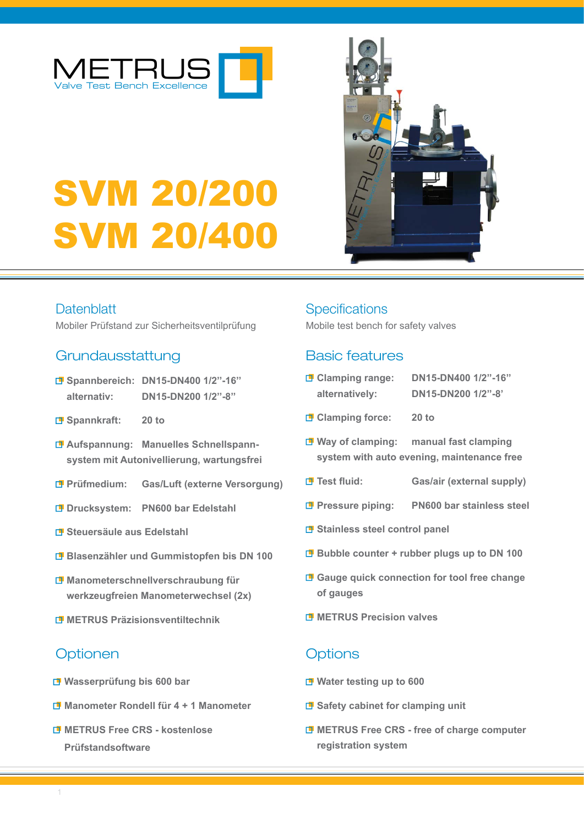

# SVM 20/200 SVM 20/400

# **Datenblatt**

Mobiler Prüfstand zur Sicherheitsventilprüfung

## Grundausstattung

- **Spannbereich: DN15-DN400 1/2''-16'' alternativ: DN15-DN200 1/2''-8''**
- **Spannkraft: 20 to**
- **Aufspannung: Manuelles Schnellspannsystem mit Autonivellierung, wartungsfrei**
- **Prüfmedium: Gas/Luft (externe Versorgung)**
- **Drucksystem: PN600 bar Edelstahl**
- **Steuersäule aus Edelstahl**
- **Blasenzähler und Gummistopfen bis DN 100**
- **Manometerschnellverschraubung für werkzeugfreien Manometerwechsel (2x)**
- **METRUS Präzisionsventiltechnik**

# Optionen Optionen Options

- **Wasserprüfung bis 600 bar**
- **Manometer Rondell für 4 + 1 Manometer**
- **METRUS Free CRS - kostenlose Prüfstandsoftware**

## **Specifications**

Mobile test bench for safety valves

# Basic features

| <b>D</b> Clamping range: | DN15-DN400 1/2"-16" |
|--------------------------|---------------------|
| alternatively:           | DN15-DN200 1/2"-8'  |
| <b>Clamping force:</b>   | $20$ to             |

- **Way of clamping: manual fast clamping**
- **system with auto evening, maintenance free**
- **Test fluid: Gas/air (external supply)**
- **Pressure piping: PN600 bar stainless steel**
- **B** Stainless steel control panel
- **Bubble counter + rubber plugs up to DN 100**
- **Gauge quick connection for tool free change of gauges**
- **METRUS Precision valves**

- **Water testing up to 600**
- **B** Safety cabinet for clamping unit
- **METRUS Free CRS free of charge computer registration system**